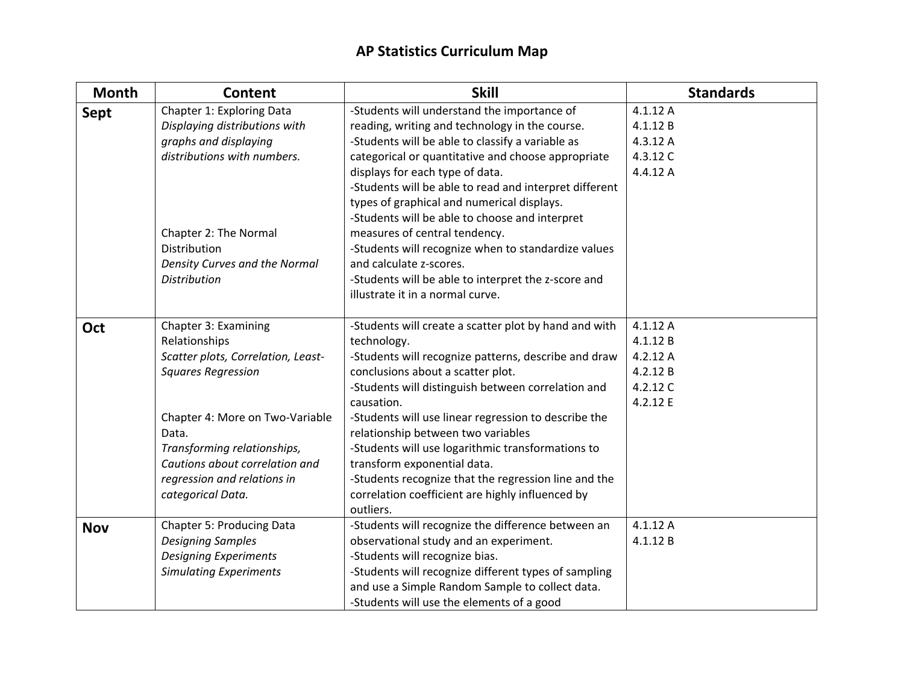| <b>Month</b> | Content                                                                                                                                                                                                                                                                   | <b>Skill</b>                                                                                                                                                                                                                                                                                                                                                                                                                                                                                                                                                                                                       | <b>Standards</b>                                                    |
|--------------|---------------------------------------------------------------------------------------------------------------------------------------------------------------------------------------------------------------------------------------------------------------------------|--------------------------------------------------------------------------------------------------------------------------------------------------------------------------------------------------------------------------------------------------------------------------------------------------------------------------------------------------------------------------------------------------------------------------------------------------------------------------------------------------------------------------------------------------------------------------------------------------------------------|---------------------------------------------------------------------|
| <b>Sept</b>  | Chapter 1: Exploring Data<br>Displaying distributions with<br>graphs and displaying<br>distributions with numbers.<br>Chapter 2: The Normal<br>Distribution<br>Density Curves and the Normal<br><b>Distribution</b>                                                       | -Students will understand the importance of<br>reading, writing and technology in the course.<br>-Students will be able to classify a variable as<br>categorical or quantitative and choose appropriate<br>displays for each type of data.<br>-Students will be able to read and interpret different<br>types of graphical and numerical displays.<br>-Students will be able to choose and interpret<br>measures of central tendency.<br>-Students will recognize when to standardize values<br>and calculate z-scores.<br>-Students will be able to interpret the z-score and<br>illustrate it in a normal curve. | 4.1.12 A<br>4.1.12 B<br>4.3.12 A<br>4.3.12 C<br>4.4.12 A            |
| Oct          | Chapter 3: Examining<br>Relationships<br>Scatter plots, Correlation, Least-<br><b>Squares Regression</b><br>Chapter 4: More on Two-Variable<br>Data.<br>Transforming relationships,<br>Cautions about correlation and<br>regression and relations in<br>categorical Data. | -Students will create a scatter plot by hand and with<br>technology.<br>-Students will recognize patterns, describe and draw<br>conclusions about a scatter plot.<br>-Students will distinguish between correlation and<br>causation.<br>-Students will use linear regression to describe the<br>relationship between two variables<br>-Students will use logarithmic transformations to<br>transform exponential data.<br>-Students recognize that the regression line and the<br>correlation coefficient are highly influenced by<br>outliers.                                                                   | 4.1.12A<br>4.1.12 B<br>4.2.12 A<br>4.2.12 B<br>4.2.12 C<br>4.2.12 E |
| <b>Nov</b>   | Chapter 5: Producing Data<br><b>Designing Samples</b><br><b>Designing Experiments</b><br><b>Simulating Experiments</b>                                                                                                                                                    | -Students will recognize the difference between an<br>observational study and an experiment.<br>-Students will recognize bias.<br>-Students will recognize different types of sampling<br>and use a Simple Random Sample to collect data.<br>-Students will use the elements of a good                                                                                                                                                                                                                                                                                                                             | 4.1.12 A<br>4.1.12 B                                                |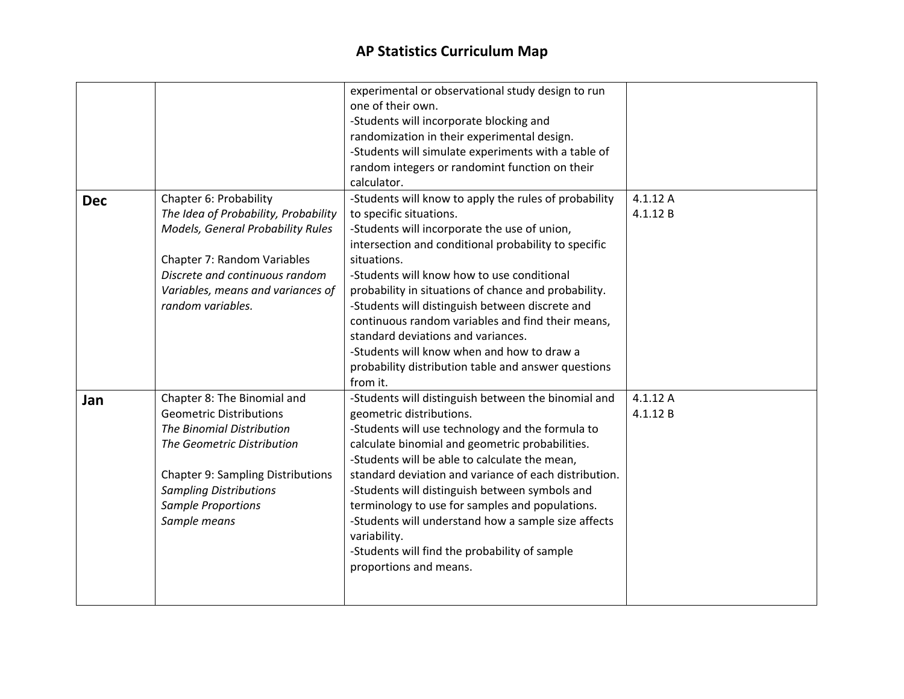|            |                                          | experimental or observational study design to run     |          |
|------------|------------------------------------------|-------------------------------------------------------|----------|
|            |                                          | one of their own.                                     |          |
|            |                                          | -Students will incorporate blocking and               |          |
|            |                                          | randomization in their experimental design.           |          |
|            |                                          | -Students will simulate experiments with a table of   |          |
|            |                                          | random integers or randomint function on their        |          |
|            |                                          | calculator.                                           |          |
| <b>Dec</b> | Chapter 6: Probability                   | -Students will know to apply the rules of probability | 4.1.12A  |
|            | The Idea of Probability, Probability     | to specific situations.                               | 4.1.12B  |
|            | Models, General Probability Rules        | -Students will incorporate the use of union,          |          |
|            |                                          | intersection and conditional probability to specific  |          |
|            | Chapter 7: Random Variables              | situations.                                           |          |
|            | Discrete and continuous random           | -Students will know how to use conditional            |          |
|            | Variables, means and variances of        | probability in situations of chance and probability.  |          |
|            | random variables.                        | -Students will distinguish between discrete and       |          |
|            |                                          | continuous random variables and find their means,     |          |
|            |                                          | standard deviations and variances.                    |          |
|            |                                          | -Students will know when and how to draw a            |          |
|            |                                          | probability distribution table and answer questions   |          |
|            |                                          | from it.                                              |          |
|            | Chapter 8: The Binomial and              | -Students will distinguish between the binomial and   | 4.1.12 A |
| Jan        | <b>Geometric Distributions</b>           | geometric distributions.                              | 4.1.12B  |
|            | <b>The Binomial Distribution</b>         | -Students will use technology and the formula to      |          |
|            | The Geometric Distribution               | calculate binomial and geometric probabilities.       |          |
|            |                                          | -Students will be able to calculate the mean,         |          |
|            |                                          |                                                       |          |
|            | <b>Chapter 9: Sampling Distributions</b> | standard deviation and variance of each distribution. |          |
|            | <b>Sampling Distributions</b>            | -Students will distinguish between symbols and        |          |
|            | <b>Sample Proportions</b>                | terminology to use for samples and populations.       |          |
|            | Sample means                             | -Students will understand how a sample size affects   |          |
|            |                                          | variability.                                          |          |
|            |                                          | -Students will find the probability of sample         |          |
|            |                                          | proportions and means.                                |          |
|            |                                          |                                                       |          |
|            |                                          |                                                       |          |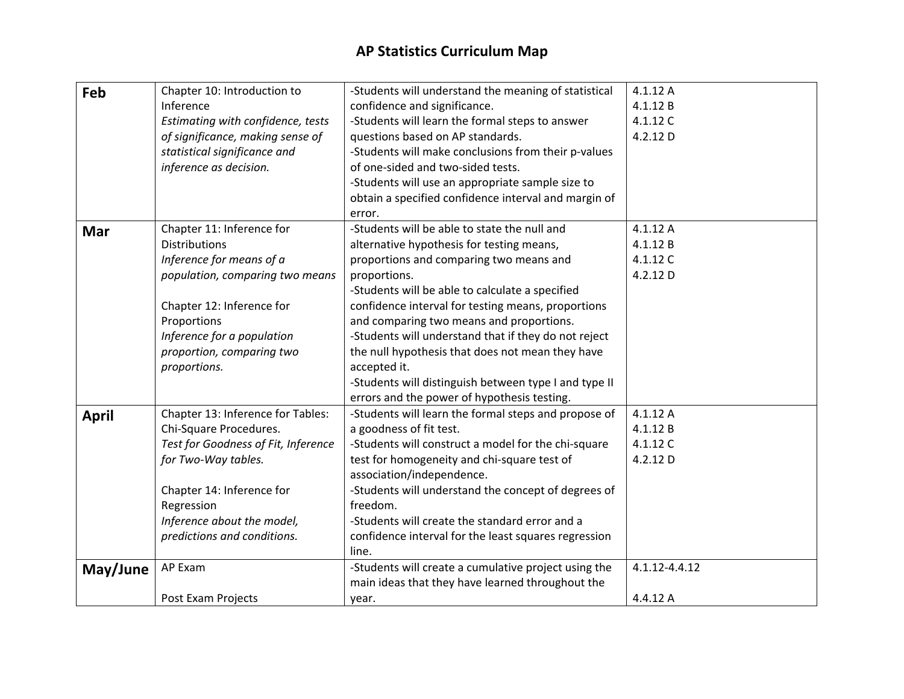| Feb          | Chapter 10: Introduction to         | -Students will understand the meaning of statistical  | 4.1.12 A      |
|--------------|-------------------------------------|-------------------------------------------------------|---------------|
|              | Inference                           | confidence and significance.                          | 4.1.12B       |
|              | Estimating with confidence, tests   | -Students will learn the formal steps to answer       | 4.1.12 C      |
|              | of significance, making sense of    | questions based on AP standards.                      | 4.2.12 D      |
|              | statistical significance and        | -Students will make conclusions from their p-values   |               |
|              | inference as decision.              | of one-sided and two-sided tests.                     |               |
|              |                                     | -Students will use an appropriate sample size to      |               |
|              |                                     | obtain a specified confidence interval and margin of  |               |
|              |                                     | error.                                                |               |
| Mar          | Chapter 11: Inference for           | -Students will be able to state the null and          | 4.1.12 A      |
|              | <b>Distributions</b>                | alternative hypothesis for testing means,             | 4.1.12B       |
|              | Inference for means of a            | proportions and comparing two means and               | 4.1.12 C      |
|              | population, comparing two means     | proportions.                                          | 4.2.12 D      |
|              |                                     | -Students will be able to calculate a specified       |               |
|              | Chapter 12: Inference for           | confidence interval for testing means, proportions    |               |
|              | Proportions                         | and comparing two means and proportions.              |               |
|              | Inference for a population          | -Students will understand that if they do not reject  |               |
|              | proportion, comparing two           | the null hypothesis that does not mean they have      |               |
|              | proportions.                        | accepted it.                                          |               |
|              |                                     | -Students will distinguish between type I and type II |               |
|              |                                     | errors and the power of hypothesis testing.           |               |
| <b>April</b> | Chapter 13: Inference for Tables:   | -Students will learn the formal steps and propose of  | 4.1.12A       |
|              | Chi-Square Procedures.              | a goodness of fit test.                               | 4.1.12B       |
|              | Test for Goodness of Fit, Inference | -Students will construct a model for the chi-square   | 4.1.12 C      |
|              | for Two-Way tables.                 | test for homogeneity and chi-square test of           | 4.2.12 D      |
|              |                                     | association/independence.                             |               |
|              | Chapter 14: Inference for           | -Students will understand the concept of degrees of   |               |
|              | Regression                          | freedom.                                              |               |
|              | Inference about the model,          | -Students will create the standard error and a        |               |
|              | predictions and conditions.         | confidence interval for the least squares regression  |               |
|              |                                     | line.                                                 |               |
| May/June     | AP Exam                             | -Students will create a cumulative project using the  | 4.1.12-4.4.12 |
|              |                                     | main ideas that they have learned throughout the      |               |
|              | Post Exam Projects                  | year.                                                 | 4.4.12 A      |